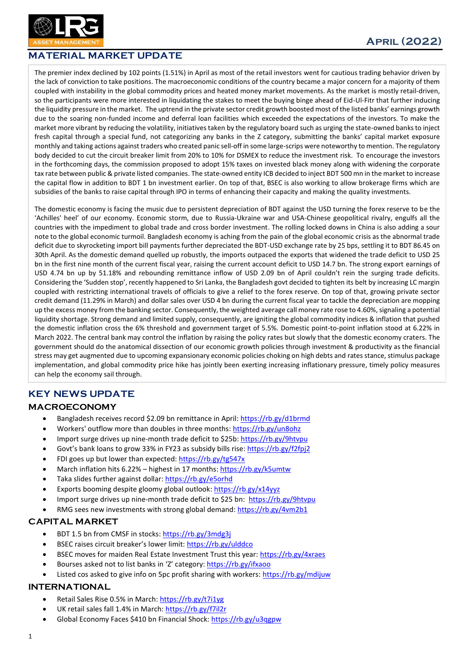

# MATERIAL MARKET UPDATE

The premier index declined by 102 points (1.51%) in April as most of the retail investors went for cautious trading behavior driven by the lack of conviction to take positions. The macroeconomic conditions of the country became a major concern for a majority of them coupled with instability in the global commodity prices and heated money market movements. As the market is mostly retail-driven, so the participants were more interested in liquidating the stakes to meet the buying binge ahead of Eid-Ul-Fitr that further inducing the liquidity pressure in the market. The uptrend in the private sector credit growth boosted most of the listed banks' earnings growth due to the soaring non-funded income and deferral loan facilities which exceeded the expectations of the investors. To make the market more vibrant by reducing the volatility, initiatives taken by the regulatory board such as urging the state-owned banks to inject fresh capital through a special fund, not categorizing any banks in the Z category, submitting the banks' capital market exposure monthly and taking actions against traders who created panic sell-off in some large-scrips were noteworthy to mention. The regulatory body decided to cut the circuit breaker limit from 20% to 10% for DSMEX to reduce the investment risk. To encourage the investors in the forthcoming days, the commission proposed to adopt 15% taxes on invested black money along with widening the corporate tax rate between public & private listed companies. The state-owned entity ICB decided to inject BDT 500 mn in the market to increase the capital flow in addition to BDT 1 bn investment earlier. On top of that, BSEC is also working to allow brokerage firms which are subsidies of the banks to raise capital through IPO in terms of enhancing their capacity and making the quality investments.

The domestic economy is facing the music due to persistent depreciation of BDT against the USD turning the forex reserve to be the 'Achilles' heel' of our economy. Economic storm, due to Russia-Ukraine war and USA-Chinese geopolitical rivalry, engulfs all the countries with the impediment to global trade and cross border investment. The rolling locked downs in China is also adding a sour note to the global economic turmoil. Bangladesh economy is aching from the pain of the global economic crisis as the abnormal trade deficit due to skyrocketing import bill payments further depreciated the BDT-USD exchange rate by 25 bps, settling it to BDT 86.45 on 30th April. As the domestic demand quelled up robustly, the imports outpaced the exports that widened the trade deficit to USD 25 bn in the first nine month of the current fiscal year, raising the current account deficit to USD 14.7 bn. The strong export earnings of USD 4.74 bn up by 51.18% and rebounding remittance inflow of USD 2.09 bn of April couldn't rein the surging trade deficits. Considering the 'Sudden stop', recently happened to Sri Lanka, the Bangladesh govt decided to tighten its belt by increasing LC margin coupled with restricting international travels of officials to give a relief to the forex reserve. On top of that, growing private sector credit demand (11.29% in March) and dollar sales over USD 4 bn during the current fiscal year to tackle the depreciation are mopping up the excess money from the banking sector. Consequently, the weighted average call money rate rose to 4.60%, signaling a potential liquidity shortage. Strong demand and limited supply, consequently, are igniting the global commodity indices & inflation that pushed the domestic inflation cross the 6% threshold and government target of 5.5%. Domestic point-to-point inflation stood at 6.22% in March 2022. The central bank may control the inflation by raising the policy rates but slowly that the domestic economy craters. The government should do the anatomical dissection of our economic growth policies through investment & productivity as the financial stress may get augmented due to upcoming expansionary economic policies choking on high debts and rates stance, stimulus package implementation, and global commodity price hike has jointly been exerting increasing inflationary pressure, timely policy measures can help the economy sail through.

## KEY NEWS UPDATE

#### MACROECONOMY

- Bangladesh receives record \$2.09 bn remittance in April:<https://rb.gy/d1brmd>
- Workers' outflow more than doubles in three months[: https://rb.gy/un8ohz](https://rb.gy/un8ohz)
- Import surge drives up nine-month trade deficit to \$25b[: https://rb.gy/9htvpu](https://rb.gy/9htvpu)
- Govt's bank loans to grow 33% in FY23 as subsidy bills rise[: https://rb.gy/f2fpj2](https://rb.gy/f2fpj2)
- FDI goes up but lower than expected:<https://rb.gy/tg547x>
- March inflation hits 6.22% highest in 17 months[: https://rb.gy/k5umtw](https://rb.gy/k5umtw)
- Taka slides further against dollar:<https://rb.gy/e5orhd>
- Exports booming despite gloomy global outlook[: https://rb.gy/x14yyz](https://rb.gy/x14yyz)
- Import surge drives up nine-month trade deficit to \$25 bn:<https://rb.gy/9htvpu>
- RMG sees new investments with strong global demand[: https://rb.gy/4vm2b1](https://rb.gy/4vm2b1)

#### CAPITAL MARKET

- BDT 1.5 bn from CMSF in stocks:<https://rb.gy/3mdg3j>
- BSEC raises circuit breaker's lower limit: <https://rb.gy/ulddco>
- BSEC moves for maiden Real Estate Investment Trust this year:<https://rb.gy/4xraes>
- Bourses asked not to list banks in 'Z' category: <https://rb.gy/ifxaoo>
- Listed cos asked to give info on 5pc profit sharing with workers:<https://rb.gy/mdijuw>

#### INTERNATIONAL

- Retail Sales Rise 0.5% in March:<https://rb.gy/t7i1yg>
- UK retail sales fall 1.4% in March:<https://rb.gy/f7il2r>
- [Global Economy Faces \\$410 bn Financial Shock:](https://www.bloomberg.com/news/articles/2022-05-01/global-economy-faces-410b-financial-shock-as-central-banks-pull-back) <https://rb.gy/u3qgpw>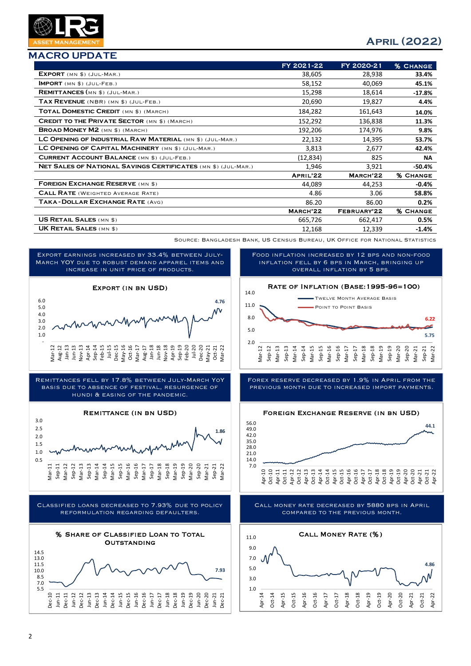## MACRO UPDATE

# April (2022)

|                                                               | FY 2021-22 | FY 2020-21  | <b>% CHANGE</b> |
|---------------------------------------------------------------|------------|-------------|-----------------|
| $EXPORT$ (MN $$)$ (JUL-MAR.)                                  | 38,605     | 28,938      | 33.4%           |
| $IMPORT$ $(MN $)$ $(JUL-FEB.)$                                | 58,152     | 40,069      | 45.1%           |
| REMITTANCES (MN \$) (JUL-MAR.)                                | 15,298     | 18,614      | $-17.8%$        |
| TAX REVENUE (NBR) (MN \$) (JUL-FEB.)                          | 20,690     | 19,827      | 4.4%            |
| TOTAL DOMESTIC CREDIT (MN \$) (MARCH)                         | 184,282    | 161,643     | 14.0%           |
| <b>CREDIT TO THE PRIVATE SECTOR (MN \$) (MARCH)</b>           | 152,292    | 136,838     | 11.3%           |
| <b>BROAD MONEY M2</b> (MN \$) (MARCH)                         | 192,206    | 174,976     | 9.8%            |
| LC OPENING OF INDUSTRIAL RAW MATERIAL (MN \$) (JUL-MAR.)      | 22,132     | 14,395      | 53.7%           |
| LC OPENING OF CAPITAL MACHINERY (MN \$) (JUL-MAR.)            | 3,813      | 2,677       | 42.4%           |
| <b>CURRENT ACCOUNT BALANCE (MN \$) (JUL-FEB.)</b>             | (12,834)   | 825         | <b>NA</b>       |
| NET SALES OF NATIONAL SAVINGS CERTIFICATES (MN \$) (JUL-MAR.) | 1,946      | 3,921       | -50.4%          |
|                                                               | APRIL'22   | MARCH'22    | <b>% CHANGE</b> |
| <b>FOREIGN EXCHANGE RESERVE (MN \$)</b>                       | 44,089     | 44,253      | $-0.4%$         |
| <b>CALL RATE</b> (WEIGHTED AVERAGE RATE)                      | 4.86       | 3.06        | 58.8%           |
| TAKA-DOLLAR EXCHANGE RATE (AVG)                               | 86.20      | 86.00       | 0.2%            |
|                                                               | MARCH'22   | FEBRUARY'22 | <b>% CHANGE</b> |
| <b>US RETAIL SALES (MN \$)</b>                                | 665,726    | 662,417     | 0.5%            |
| <b>UK RETAIL SALES (MN \$)</b>                                | 12,168     | 12,339      | $-1.4%$         |

Source: Bangladesh Bank, US Census Bureau, UK Office for National Statistics

Export earnings increased by 33.4% between July-March YOY due to robust demand apparel items and increase in unit price of products.



Remittances fell by 17.8% between July-March YoY basis due to absence of festival, resurgence of hundi & easing of the pandemic.

#### Remittance (in bn USD)







Rate of Inflation (Base:1995-96=100) Twelve Month Average Basis overall inflation by 5 bps.

Food inflation increased by 12 bps and non-food inflation fell by 6 bps in March, bringing up



Forex reserve decreased by 1.9% in April from the previous month due to increased import payments.



Call money rate decreased by 5880 bps in April compared to the previous month.

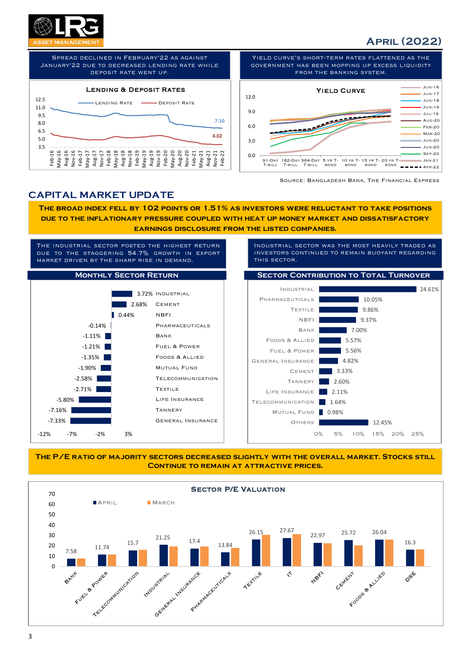

# April (2022)



Yield curve's short-term rates flattened as the government has been mopping up excess liquidity from the banking system.



Source: Bangladesh Bank, The Financial Express

## CAPITAL MARKET UPDATE

The broad index fell by 102 points or 1.51% as investors were reluctant to take positions due to the inflationary pressure coupled with heat up money market and dissatisfactory earnings disclosure from the listed companies.



THE P/E RATIO OF MAJORITY SECTORS DECREASED SLIGHTLY WITH THE OVERALL MARKET. STOCKS STILL CONTINUE TO REMAIN AT ATTRACTIVE PRICES.

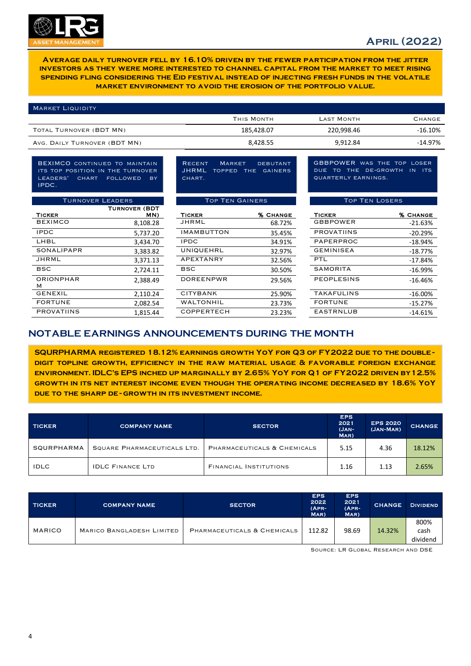

Average daily turnover fell by 16.10% driven by the fewer participation from the jitter investors as they were more interested to channel capital from the market to meet rising spending fling considering the Eid festival instead of injecting fresh funds in the volatile market environment to avoid the erosion of the portfolio value.

| <b>MARKET LIQUIDITY</b>      |            |                   |               |
|------------------------------|------------|-------------------|---------------|
|                              | THIS MONTH | <b>LAST MONTH</b> | <b>CHANGE</b> |
| TOTAL TURNOVER (BDT MN)      | 185,428.07 | 220.998.46        | $-16.10%$     |
| AVG. DAILY TURNOVER (BDT MN) | 8,428.55   | 9,912.84          | $-14.97%$     |

BEXIMCO continued to maintain its top position in the turnover leaders' chart followed by IPDC.

| <b>TURNOVER LEADERS</b> |                      | <b>TOP TEN GAINERS</b> |                 | <b>TOP TEN LOSERS</b> |                 |
|-------------------------|----------------------|------------------------|-----------------|-----------------------|-----------------|
|                         | <b>TURNOVER (BDT</b> |                        |                 |                       |                 |
| <b>TICKER</b>           | MN)                  | <b>TICKER</b>          | <b>% CHANGE</b> | <b>TICKER</b>         | <b>% CHANGE</b> |
| <b>BEXIMCO</b>          | 8,108.28             | JHRML                  | 68.72%          | <b>GBBPOWER</b>       | $-21.63%$       |
| <b>IPDC</b>             | 5,737.20             | <b>IMAMBUTTON</b>      | 35.45%          | <b>PROVATIINS</b>     | $-20.29%$       |
| LHBL                    | 3,434.70             | <b>IPDC</b>            | 34.91%          | PAPERPROC             | $-18.94%$       |
| <b>SONALIPAPR</b>       | 3,383.82             | <b>UNIQUEHRL</b>       | 32.97%          | <b>GEMINISEA</b>      | $-18.77%$       |
| JHRML                   | 3,371.13             | APEXTANRY              | 32.56%          | <b>PTL</b>            | $-17.84%$       |
| <b>BSC</b>              | 2,724.11             | <b>BSC</b>             | 30.50%          | SAMORITA              | $-16.99%$       |
| <b>ORIONPHAR</b><br>м   | 2,388.49             | <b>DOREENPWR</b>       | 29.56%          | <b>PEOPLESINS</b>     | $-16.46%$       |
| <b>GENEXIL</b>          | 2,110.24             | <b>CITYBANK</b>        | 25.90%          | <b>TAKAFULINS</b>     | $-16.00%$       |
| <b>FORTUNE</b>          | 2,082.54             | <b>WALTONHIL</b>       | 23.73%          | <b>FORTUNE</b>        | $-15.27%$       |
| <b>PROVATIINS</b>       | 1.815.44             | <b>COPPERTECH</b>      | 23.23%          | <b>EASTRNLUB</b>      | $-14.61%$       |

Recent Market debutant JHRML topped the gainers CHART.

|                | <b>TURNOVER (BDT</b> |                   |                 |                   |                 |
|----------------|----------------------|-------------------|-----------------|-------------------|-----------------|
| TICKER         | MN)                  | <b>TICKER</b>     | <b>% CHANGE</b> | <b>TICKER</b>     | <b>% CHANGE</b> |
| <b>BEXIMCO</b> | 8,108.28             | JHRML             | 68.72%          | <b>GBBPOWER</b>   | $-21.63%$       |
| <b>IPDC</b>    | 5,737.20             | <b>IMAMBUTTON</b> | 35.45%          | <b>PROVATIINS</b> | $-20.29%$       |
| LHBL           | 3,434.70             | <b>IPDC</b>       | 34.91%          | PAPERPROC         | $-18.94%$       |
| SONALIPAPR     | 3,383.82             | UNIQUEHRL         | 32.97%          | <b>GEMINISEA</b>  | $-18.77%$       |
| JHRML          | 3,371.13             | APEXTANRY         | 32.56%          | <b>PTL</b>        | $-17.84%$       |
| <b>BSC</b>     | 2,724.11             | <b>BSC</b>        | 30.50%          | SAMORITA          | $-16.99%$       |
| ORIONPHAR<br>м | 2,388.49             | <b>DOREENPWR</b>  | 29.56%          | <b>PEOPLESINS</b> | $-16.46%$       |
| GENEXIL        | 2,110.24             | <b>CITYBANK</b>   | 25.90%          | <b>TAKAFULINS</b> | $-16.00%$       |
| <b>FORTUNE</b> | 2,082.54             | <b>WALTONHIL</b>  | 23.73%          | <b>FORTUNE</b>    | $-15.27%$       |
| PROVATIINS     | 1,815.44             | <b>COPPERTECH</b> | 23.23%          | <b>EASTRNLUB</b>  | $-14.61%$       |
|                |                      |                   |                 |                   |                 |

GBBPOWER was the top loser due to the de-growth in its quarterly earnings.

#### Top Ten Gainers Top Ten Losers

| י טפ  |                   |                 |                   |                 |
|-------|-------------------|-----------------|-------------------|-----------------|
| MN)   | <b>TICKER</b>     | <b>% CHANGE</b> | <b>TICKER</b>     | <b>% CHANGE</b> |
| 18.28 | JHRML             | 68.72%          | <b>GBBPOWER</b>   | $-21.63%$       |
| 17.20 | <b>IMAMBUTTON</b> | 35.45%          | <b>PROVATIINS</b> | $-20.29%$       |
| 14.70 | <b>IPDC</b>       | 34.91%          | PAPERPROC         | -18.94%         |
| 33.82 | <b>UNIQUEHRL</b>  | 32.97%          | <b>GEMINISEA</b>  | $-18.77%$       |
| 1.13  | APEXTANRY         | 32.56%          | <b>PTL</b>        | $-17.84%$       |
| 4.11! | <b>BSC</b>        | 30.50%          | <b>SAMORITA</b>   | $-16.99%$       |
| 8.49  | <b>DOREENPWR</b>  | 29.56%          | <b>PEOPLESINS</b> | $-16.46%$       |
| 0.24  | <b>CITYBANK</b>   | 25.90%          | <b>TAKAFULINS</b> | $-16.00\%$      |
| 32.54 | <b>WALTONHIL</b>  | 23.73%          | <b>FORTUNE</b>    | $-15.27%$       |
| .5.44 | <b>COPPERTECH</b> | 23.23%          | <b>EASTRNLUB</b>  | $-14.61%$       |

## NOTABLE EARNINGS ANNOUNCEMENTS DURING THE MONTH

SQURPHARMA registered 18.12% earnings growth YoY for Q3 of FY2022 due to the doubledigit topline growth, efficiency in the raw material usage & favorable foreign exchange environment. IDLC's EPS inched up marginally by 2.65% YoY for Q1 of FY2022 driven by12.5% growth in its net interest income even though the operating income decreased by 18.6% YoY DUE TO THE SHARP DE-GROWTH IN ITS INVESTMENT INCOME.

| <b>TICKER</b> | <b>COMPANY NAME</b>         | <b>SECTOR</b>                 | <b>EPS</b><br>2021<br>(JAN-<br>MAR) | <b>EPS 2020</b><br>(JAN-MAR) | <b>CHANGE</b> |
|---------------|-----------------------------|-------------------------------|-------------------------------------|------------------------------|---------------|
| SQURPHARMA    | SQUARE PHARMACEUTICALS LTD. | PHARMACEUTICALS & CHEMICALS   | 5.15                                | 4.36                         | 18.12%        |
| <b>IDLC</b>   | <b>IDLC FINANCE LTD</b>     | <b>FINANCIAL INSTITUTIONS</b> | 1.16                                | 1.13                         | 2.65%         |

| <b>TICKER</b> | <b>COMPANY NAME</b>       | <b>SECTOR</b>               | <b>EPS</b><br>2022<br>$(APR-$<br>$MR$ | <b>EPS</b><br>2021<br>$(APR-$<br>MAR) | <b>CHANGE</b> | <b>DIVIDEND</b>          |
|---------------|---------------------------|-----------------------------|---------------------------------------|---------------------------------------|---------------|--------------------------|
| <b>MARICO</b> | MARICO BANGLADESH LIMITED | PHARMACEUTICALS & CHEMICALS | 112.82                                | 98.69                                 | 14.32%        | 800%<br>cash<br>dividend |

Source: LR Global Research and DSE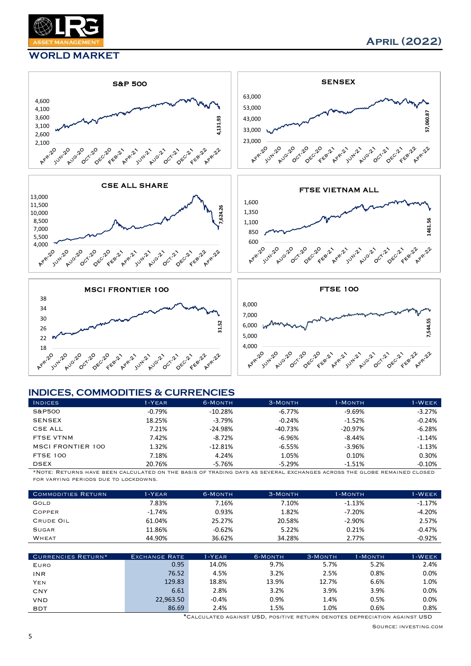

#### WORLD MARKET



#### INDICES, COMMODITIES & CURRENCIES

| <b>INDICES</b>           | $1 - YEAR$ | 6-MONTH    | 3-MONTH   | 1-MONTH   | <b>I-WEEK</b> |
|--------------------------|------------|------------|-----------|-----------|---------------|
| S&P500                   | $-0.79\%$  | $-10.28%$  | $-6.77\%$ | $-9.69%$  | $-3.27%$      |
| <b>SENSEX</b>            | 18.25%     | $-3.79%$   | $-0.24%$  | $-1.52%$  | $-0.24%$      |
| CSE ALL                  | 7.21%      | $-24.98\%$ | $-40.73%$ | $-20.97%$ | $-6.28%$      |
| FTSE VTNM                | 7.42%      | $-8.72\%$  | $-6.96%$  | $-8.44%$  | $-1.14%$      |
| <b>MSCI FRONTIER 100</b> | 1.32%      | $-12.81%$  | $-6.55%$  | $-3.96%$  | $-1.13%$      |
| <b>FTSE 100</b>          | 7.18%      | 4.24%      | 1.05%     | 0.10%     | 0.30%         |
| <b>DSEX</b>              | 20.76%     | -5.76%     | $-5.29%$  | $-1.51%$  | $-0.10%$      |

\*Note: Returns have been calculated on the basis of trading days as several exchanges across the globe remained closed for varying periods due to lockdowns.

| <b>COMMODITIES RETURN</b> | $1 - YEAR$ | 6-MONTH | 3-MONTH | 1-MONTH  | 1-WEEK   |
|---------------------------|------------|---------|---------|----------|----------|
| GOLD                      | 7.83%      | 7.16%   | 7.10%   | $-1.13%$ | $-1.17%$ |
| <b>COPPER</b>             | $-1.74\%$  | 0.93%   | 1.82%   | $-7.20%$ | $-4.20%$ |
| CRUDE OIL                 | 61.04%     | 25.27%  | 20.58%  | $-2.90%$ | 2.57%    |
| <b>SUGAR</b>              | 11.86%     | -0.62%  | 5.22%   | 0.21%    | $-0.47%$ |
| WHEAT                     | 44.90%     | 36.62%  | 34.28%  | 2.77%    | $-0.92%$ |

| CURRENCIES RETURN* | <b>EXCHANGE RATE</b> | 1-YEAR  | 6-MONTH | 3-MONTH | 1-MONTH | 1-WEEK |
|--------------------|----------------------|---------|---------|---------|---------|--------|
| EURO               | 0.95                 | 14.0%   | 9.7%    | 5.7%    | 5.2%    | 2.4%   |
| INR                | 76.52                | 4.5%    | 3.2%    | 2.5%    | 0.8%    | 0.0%   |
| YEN                | 129.83               | 18.8%   | 13.9%   | 12.7%   | 6.6%    | 1.0%   |
| CNY                | 6.61                 | 2.8%    | 3.2%    | 3.9%    | 3.9%    | 0.0%   |
| VND                | 22,963.50            | $-0.4%$ | 0.9%    | 1.4%    | 0.5%    | 0.0%   |
| <b>BDT</b>         | 86.69                | 2.4%    | 1.5%    | 1.0%    | 0.6%    | 0.8%   |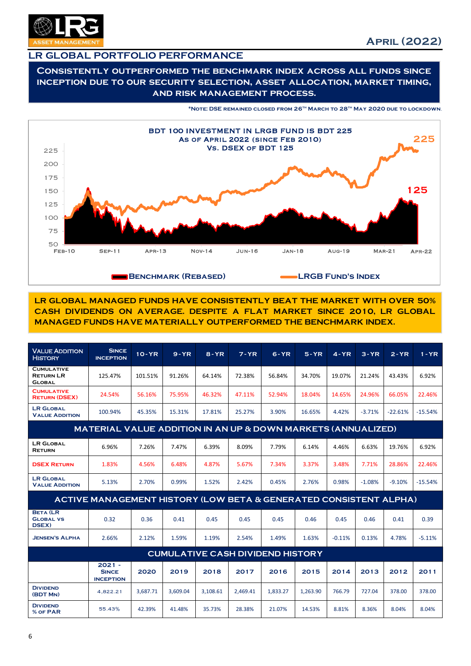

## LR GLOBAL PORTFOLIO PERFORMANCE

#### Consistently outperformed the benchmark index across all funds since inception due to our security selection, asset allocation, market timing, and risk management process.

\*Note: DSE remained closed from 26th March to 28th May 2020 due to lockdown.



LR GLOBAL MANAGED FUNDS HAVE CONSISTENTLY BEAT THE MARKET WITH OVER 50% CASH DIVIDENDS ON AVERAGE. DESPITE A FLAT MARKET SINCE 2010, LR GLOBAL MANAGED FUNDS HAVE MATERIALLY OUTPERFORMED THE BENCHMARK INDEX.

| <b>VALUE ADDITION</b><br><b>HISTORY</b>                | <b>SINCE</b><br><b>INCEPTION</b>                                        | $10 - YR$ | $9 - YR$ | $8 - YR$ | $7 - YR$ | $6 - YR$                                | $5 - YR$ | $4 - YR$ | $3 - YR$ | $2 - YR$  | $1 - YR$  |
|--------------------------------------------------------|-------------------------------------------------------------------------|-----------|----------|----------|----------|-----------------------------------------|----------|----------|----------|-----------|-----------|
| <b>CUMULATIVE</b><br><b>RETURN LR</b><br><b>GLOBAL</b> | 125.47%                                                                 | 101.51%   | 91.26%   | 64.14%   | 72.38%   | 56.84%                                  | 34.70%   | 19.07%   | 21.24%   | 43.43%    | 6.92%     |
| <b>CUMULATIVE</b><br><b>RETURN (DSEX)</b>              | 24.54%                                                                  | 56.16%    | 75.95%   | 46.32%   | 47.11%   | 52.94%                                  | 18.04%   | 14.65%   | 24.96%   | 66.05%    | 22.46%    |
| <b>LR GLOBAL</b><br><b>VALUE ADDITION</b>              | 100.94%                                                                 | 45.35%    | 15.31%   | 17.81%   | 25.27%   | 3.90%                                   | 16.65%   | 4.42%    | $-3.71%$ | $-22.61%$ | $-15.54%$ |
|                                                        | <b>MATERIAL VALUE ADDITION IN AN UP &amp; DOWN MARKETS (ANNUALIZED)</b> |           |          |          |          |                                         |          |          |          |           |           |
| <b>LR GLOBAL</b><br><b>RETURN</b>                      | 6.96%                                                                   | 7.26%     | 7.47%    | 6.39%    | 8.09%    | 7.79%                                   | 6.14%    | 4.46%    | 6.63%    | 19.76%    | 6.92%     |
| <b>DSEX RETURN</b>                                     | 1.83%                                                                   | 4.56%     | 6.48%    | 4.87%    | 5.67%    | 7.34%                                   | 3.37%    | 3.48%    | 7.71%    | 28.86%    | 22.46%    |
| <b>LR GLOBAL</b><br><b>VALUE ADDITION</b>              | 5.13%                                                                   | 2.70%     | 0.99%    | 1.52%    | 2.42%    | 0.45%                                   | 2.76%    | 0.98%    | $-1.08%$ | $-9.10%$  | $-15.54%$ |
|                                                        | ACTIVE MANAGEMENT HISTORY (LOW BETA & GENERATED CONSISTENT ALPHA)       |           |          |          |          |                                         |          |          |          |           |           |
| <b>BETA (LR</b><br><b>GLOBAL VS</b><br>DSEX)           | 0.32                                                                    | 0.36      | 0.41     | 0.45     | 0.45     | 0.45                                    | 0.46     | 0.45     | 0.46     | 0.41      | 0.39      |
| <b>JENSEN'S ALPHA</b>                                  | 2.66%                                                                   | 2.12%     | 1.59%    | 1.19%    | 2.54%    | 1.49%                                   | 1.63%    | $-0.11%$ | 0.13%    | 4.78%     | $-5.11%$  |
|                                                        |                                                                         |           |          |          |          | <b>CUMULATIVE CASH DIVIDEND HISTORY</b> |          |          |          |           |           |
|                                                        | $2021 -$<br><b>SINCE</b><br><b>INCEPTION</b>                            | 2020      | 2019     | 2018     | 2017     | 2016                                    | 2015     | 2014     | 2013     | 2012      | 2011      |
| <b>DIVIDEND</b><br>(BDT MN)                            | 4,822.21                                                                | 3,687.71  | 3,609.04 | 3,108.61 | 2,469.41 | 1,833.27                                | 1,263.90 | 766.79   | 727.04   | 378.00    | 378.00    |
| <b>DIVIDEND</b><br>% OF PAR                            | 55.43%                                                                  | 42.39%    | 41.48%   | 35.73%   | 28.38%   | 21.07%                                  | 14.53%   | 8.81%    | 8.36%    | 8.04%     | 8.04%     |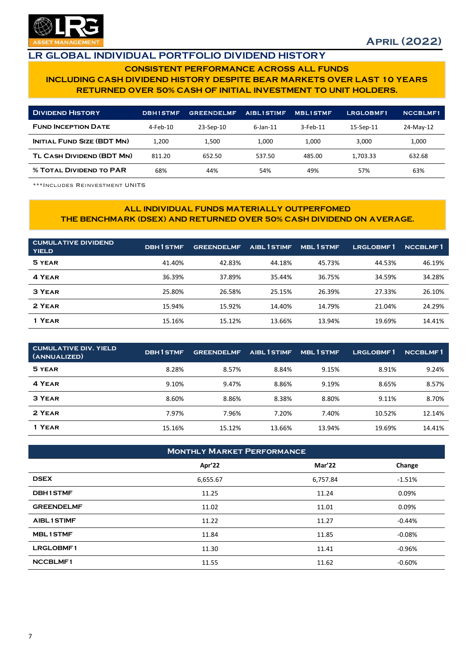

## LR GLOBAL INDIVIDUAL PORTFOLIO DIVIDEND HISTORY

#### CONSISTENT PERFORMANCE ACROSS ALL FUNDS INCLUDING CASH DIVIDEND HISTORY DESPITE BEAR MARKETS OVER LAST 10 YEARS RETURNED OVER 50% CASH OF INITIAL INVESTMENT TO UNIT HOLDERS.

| <b>DIVIDEND HISTORY</b>           | <b>DBH1STMF</b> | <b>GREENDELMF</b> | <b>AIBL1STIMF</b> | <b>MBLISTMF</b> | LRGLOBMF1 | <b>NCCBLMF1</b> |
|-----------------------------------|-----------------|-------------------|-------------------|-----------------|-----------|-----------------|
| <b>FUND INCEPTION DATE</b>        | 4-Feb-10        | 23-Sep-10         | $6$ -Jan-11       | $3$ -Feb-11     | 15-Sep-11 | 24-May-12       |
| <b>INITIAL FUND SIZE (BDT MN)</b> | 1.200           | 1.500             | 1.000             | 1.000           | 3.000     | 1,000           |
| TL CASH DIVIDEND (BDT MN)         | 811.20          | 652.50            | 537.50            | 485.00          | 1.703.33  | 632.68          |
| <b>% TOTAL DIVIDEND TO PAR</b>    | 68%             | 44%               | 54%               | 49%             | 57%       | 63%             |

\*\*\*Includes Reinvestment UNITS

#### ALL INDIVIDUAL FUNDS MATERIALLY OUTPERFOMED THE BENCHMARK (DSEX) AND RETURNED OVER 50% CASH DIVIDEND ON AVERAGE.

| <b>CUMULATIVE DIVIDEND</b><br><b>YIELD</b> | <b>DBH1STMF</b> | <b>GREENDELMF</b> | AIBL 1 STIMF | <b>MBL1STMF</b> | LRGLOBMF1 | <b>NCCBLMF1</b> |
|--------------------------------------------|-----------------|-------------------|--------------|-----------------|-----------|-----------------|
| 5 YEAR                                     | 41.40%          | 42.83%            | 44.18%       | 45.73%          | 44.53%    | 46.19%          |
| 4 YEAR                                     | 36.39%          | 37.89%            | 35.44%       | 36.75%          | 34.59%    | 34.28%          |
| 3 YEAR                                     | 25.80%          | 26.58%            | 25.15%       | 26.39%          | 27.33%    | 26.10%          |
| 2 YEAR                                     | 15.94%          | 15.92%            | 14.40%       | 14.79%          | 21.04%    | 24.29%          |
| 1 YEAR                                     | 15.16%          | 15.12%            | 13.66%       | 13.94%          | 19.69%    | 14.41%          |

| <b>CUMULATIVE DIV. YIELD</b><br>(ANNUALIZED) | <b>DBH1STMF</b> | <b>GREENDELMF</b> | AIBL 1 STIMF | <b>MBL1STMF</b> | LRGLOBMF1 | <b>NCCBLMF1</b> |
|----------------------------------------------|-----------------|-------------------|--------------|-----------------|-----------|-----------------|
| 5 YEAR                                       | 8.28%           | 8.57%             | 8.84%        | 9.15%           | 8.91%     | 9.24%           |
| 4 YEAR                                       | 9.10%           | 9.47%             | 8.86%        | 9.19%           | 8.65%     | 8.57%           |
| 3 YEAR                                       | 8.60%           | 8.86%             | 8.38%        | 8.80%           | 9.11%     | 8.70%           |
| 2 YEAR                                       | 7.97%           | 7.96%             | 7.20%        | 7.40%           | 10.52%    | 12.14%          |
| 1 YEAR                                       | 15.16%          | 15.12%            | 13.66%       | 13.94%          | 19.69%    | 14.41%          |

| <b>MONTHLY MARKET PERFORMANCE</b> |          |          |          |  |  |
|-----------------------------------|----------|----------|----------|--|--|
|                                   | Apr'22   | Mar'22   | Change   |  |  |
| <b>DSEX</b>                       | 6,655.67 | 6,757.84 | $-1.51%$ |  |  |
| <b>DBH1STMF</b>                   | 11.25    | 11.24    | 0.09%    |  |  |
| <b>GREENDELMF</b>                 | 11.02    | 11.01    | 0.09%    |  |  |
| <b>AIBL1STIMF</b>                 | 11.22    | 11.27    | $-0.44%$ |  |  |
| <b>MBL1STMF</b>                   | 11.84    | 11.85    | $-0.08%$ |  |  |
| <b>LRGLOBMF1</b>                  | 11.30    | 11.41    | $-0.96%$ |  |  |
| <b>NCCBLMF1</b>                   | 11.55    | 11.62    | $-0.60%$ |  |  |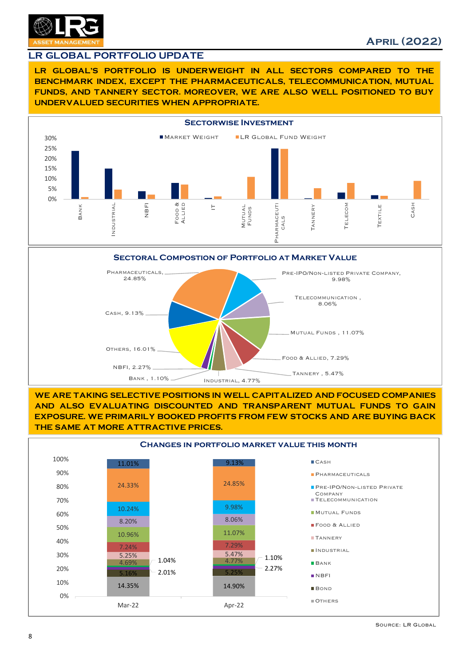

#### LR GLOBAL PORTFOLIO UPDATE

LR GLOBAL'S PORTFOLIO IS UNDERWEIGHT IN ALL SECTORS COMPARED TO THE BENCHMARK INDEX, EXCEPT THE PHARMACEUTICALS, TELECOMMUNICATION, MUTUAL FUNDS, AND TANNERY SECTOR. MOREOVER, WE ARE ALSO WELL POSITIONED TO BUY UNDERVALUED SECURITIES WHEN APPROPRIATE.







WE ARE TAKING SELECTIVE POSITIONS IN WELL CAPITALIZED AND FOCUSED COMPANIES AND ALSO EVALUATING DISCOUNTED AND TRANSPARENT MUTUAL FUNDS TO GAIN EXPOSURE. WE PRIMARILY BOOKED PROFITS FROM FEW STOCKS AND ARE BUYING BACK THE SAME AT MORE ATTRACTIVE PRICES.